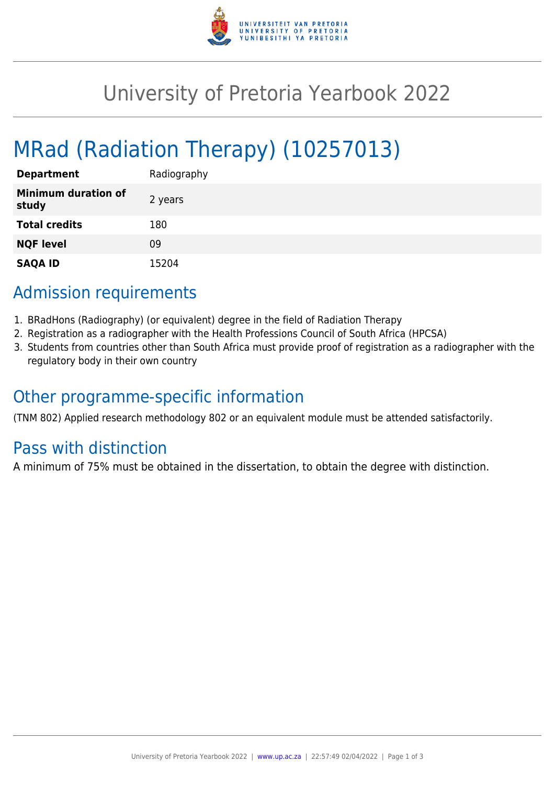

# University of Pretoria Yearbook 2022

# MRad (Radiation Therapy) (10257013)

| <b>Department</b>                   | Radiography |
|-------------------------------------|-------------|
| <b>Minimum duration of</b><br>study | 2 years     |
| <b>Total credits</b>                | 180         |
| <b>NQF level</b>                    | 09          |
| <b>SAQA ID</b>                      | 15204       |

## Admission requirements

- 1. BRadHons (Radiography) (or equivalent) degree in the field of Radiation Therapy
- 2. Registration as a radiographer with the Health Professions Council of South Africa (HPCSA)
- 3. Students from countries other than South Africa must provide proof of registration as a radiographer with the regulatory body in their own country

## Other programme-specific information

(TNM 802) Applied research methodology 802 or an equivalent module must be attended satisfactorily.

## Pass with distinction

A minimum of 75% must be obtained in the dissertation, to obtain the degree with distinction.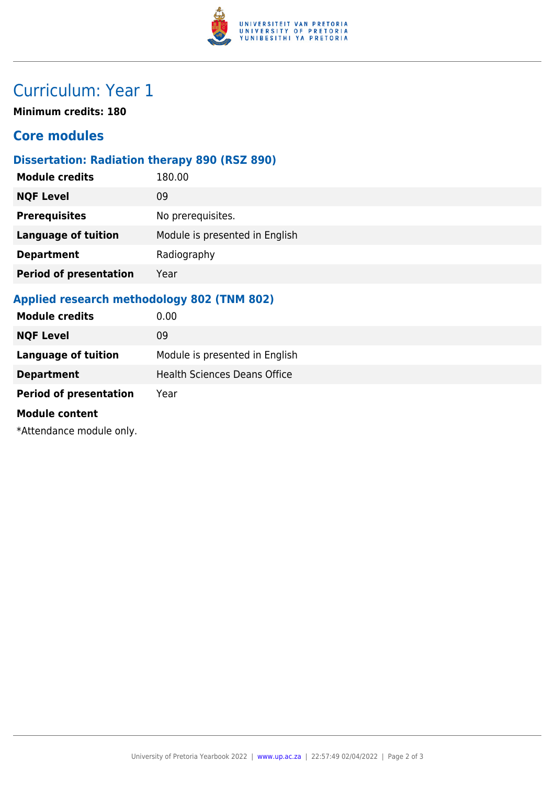

## Curriculum: Year 1

**Minimum credits: 180**

### **Core modules**

#### **Dissertation: Radiation therapy 890 (RSZ 890)**

| <b>Module credits</b>         | 180.00                         |
|-------------------------------|--------------------------------|
| <b>NQF Level</b>              | 09                             |
| <b>Prerequisites</b>          | No prerequisites.              |
| <b>Language of tuition</b>    | Module is presented in English |
| <b>Department</b>             | Radiography                    |
| <b>Period of presentation</b> | Year                           |
|                               |                                |

#### **Applied research methodology 802 (TNM 802)**

| <b>Module credits</b>         | 0.00                                |
|-------------------------------|-------------------------------------|
| <b>NQF Level</b>              | 09                                  |
| <b>Language of tuition</b>    | Module is presented in English      |
| <b>Department</b>             | <b>Health Sciences Deans Office</b> |
| <b>Period of presentation</b> | Year                                |
| <b>Module content</b>         |                                     |
| *Attendance module only.      |                                     |